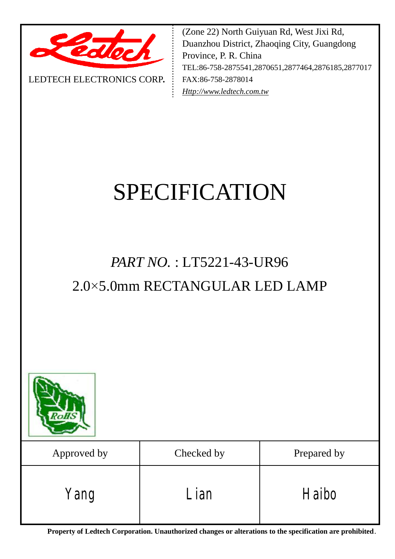

LEDTECH ELECTRONICS CORP**.**

(Zone 22) North Guiyuan Rd, West Jixi Rd, Duanzhou District, Zhaoqing City, Guangdong Province, P. R. China TEL:86-758-2875541,2870651,2877464,2876185,2877017 FAX:86-758-2878014 *[Http://www.ledtech.com.tw](http://www.ledtech.com.tw)*

# SPECIFICATION

## *PART NO.* : LT5221-43-UR96 2.0×5.0mm RECTANGULAR LED LAMP



| Approved by | Checked by | Prepared by |  |  |
|-------------|------------|-------------|--|--|
| Yang        | Lian       | Haibo       |  |  |

**Property of Ledtech Corporation. Unauthorized changes or alterations to the specification are prohibited***.*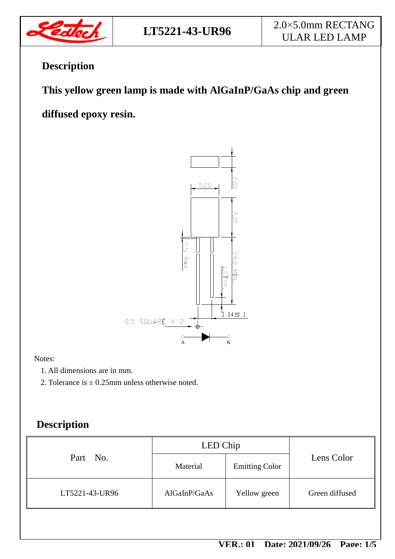

### **Description**

 **This yellow green lamp is made with AlGaInP/GaAs chip and green** 

### **diffused epoxy resin.**



#### Notes:

- 1. All dimensions are in mm.
- 2. Tolerance is  $\pm$  0.25mm unless otherwise noted.

### **Description**

| Part No.       | LED Chip     |                       |                |  |
|----------------|--------------|-----------------------|----------------|--|
|                | Material     | <b>Emitting Color</b> | Lens Color     |  |
| LT5221-43-UR96 | AlGaInP/GaAs | Yellow green          | Green diffused |  |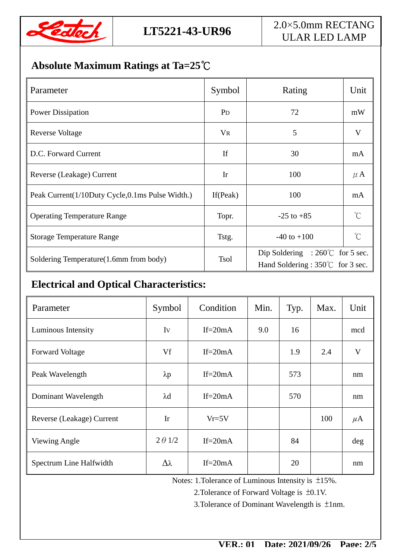

### **Absolute Maximum Ratings at Ta=25℃**

| Parameter                                       | Symbol                | Rating                                                                                | Unit         |
|-------------------------------------------------|-----------------------|---------------------------------------------------------------------------------------|--------------|
| <b>Power Dissipation</b>                        | <b>P</b> <sub>D</sub> | 72                                                                                    | mW           |
| Reverse Voltage                                 | <b>VR</b>             | 5                                                                                     | $\mathbf{V}$ |
| D.C. Forward Current                            | <b>If</b>             | 30                                                                                    | mA           |
| Reverse (Leakage) Current                       | Ir                    | 100                                                                                   | $\mu$ A      |
| Peak Current(1/10Duty Cycle,0.1ms Pulse Width.) | If $(Peak)$           | 100                                                                                   | mA           |
| <b>Operating Temperature Range</b>              | Topr.                 | $-25$ to $+85$                                                                        | $^{\circ}C$  |
| <b>Storage Temperature Range</b>                | Tstg.                 | $-40$ to $+100$                                                                       | $\gamma$     |
| Soldering Temperature(1.6mm from body)          | <b>Tsol</b>           | Dip Soldering : $260^{\circ}$ for 5 sec.<br>Hand Soldering : $350^{\circ}$ for 3 sec. |              |

### **Electrical and Optical Characteristics:**

| Parameter                 | Symbol          | Condition   | Min. | Typ. | Max. | Unit    |
|---------------------------|-----------------|-------------|------|------|------|---------|
| Luminous Intensity        | Iv              | If= $20mA$  | 9.0  | 16   |      | mcd     |
| <b>Forward Voltage</b>    | Vf              | If= $20mA$  |      | 1.9  | 2.4  | V       |
| Peak Wavelength           | $\lambda p$     | If= $20mA$  |      | 573  |      | nm      |
| Dominant Wavelength       | $\lambda$ d     | If= $20mA$  |      | 570  |      | nm      |
| Reverse (Leakage) Current | Ir              | $Vr = 5V$   |      |      | 100  | $\mu$ A |
| Viewing Angle             | $2 \theta$ 1/2  | If= $20mA$  |      | 84   |      | deg     |
| Spectrum Line Halfwidth   | $\Delta\lambda$ | $If = 20mA$ |      | 20   |      | nm      |

Notes: 1.Tolerance of Luminous Intensity is ±15%.

2.Tolerance of Forward Voltage is ±0.1V.

3.Tolerance of Dominant Wavelength is ±1nm.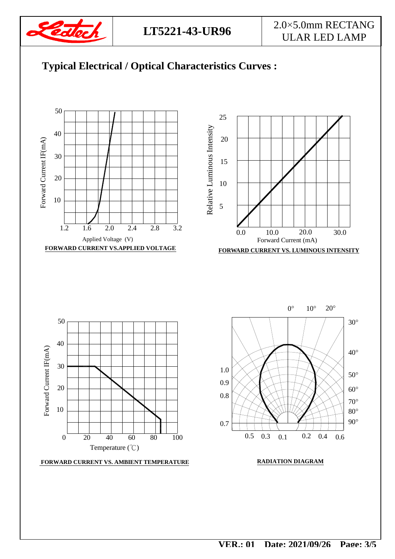

### **LT5221-43-UR96** 2.0×5.0mm RECTANG ULAR LED LAMP

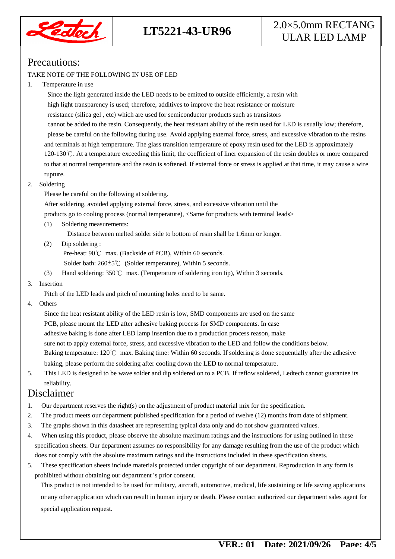

### **LT5221-43-UR96** 2.0×5.0mm RECTANG ULAR LED LAMP

#### Precautions:

#### TAKE NOTE OF THE FOLLOWING IN USE OF LED

#### 1. Temperature in use

 Since the light generated inside the LED needs to be emitted to outside efficiently, a resin with high light transparency is used; therefore, additives to improve the heat resistance or moisture resistance (silica gel , etc) which are used for semiconductor products such as transistors cannot be added to the resin. Consequently, the heat resistant ability of the resin used for LED is usually low; therefore, please be careful on the following during use. Avoid applying external force, stress, and excessive vibration to the resins and terminals at high temperature. The glass transition temperature of epoxy resin used for the LED is approximately 120-130℃. At a temperature exceeding this limit, the coefficient of liner expansion of the resin doubles or more compared to that at normal temperature and the resin is softened. If external force or stress is applied at that time, it may cause a wire rupture.

#### 2. Soldering

Please be careful on the following at soldering.

After soldering, avoided applying external force, stress, and excessive vibration until the

products go to cooling process (normal temperature), <Same for products with terminal leads>

(1) Soldering measurements:

Distance between melted solder side to bottom of resin shall be 1.6mm or longer.

(2) Dip soldering :

Pre-heat: 90℃ max. (Backside of PCB), Within 60 seconds.

Solder bath: 260±5℃ (Solder temperature), Within 5 seconds.

(3) Hand soldering: 350℃ max. (Temperature of soldering iron tip), Within 3 seconds.

#### 3. Insertion

Pitch of the LED leads and pitch of mounting holes need to be same.

4. Others

 Since the heat resistant ability of the LED resin is low, SMD components are used on the same PCB, please mount the LED after adhesive baking process for SMD components. In case adhesive baking is done after LED lamp insertion due to a production process reason, make sure not to apply external force, stress, and excessive vibration to the LED and follow the conditions below. Baking temperature: 120℃ max. Baking time: Within 60 seconds. If soldering is done sequentially after the adhesive baking, please perform the soldering after cooling down the LED to normal temperature.

5. This LED is designed to be wave solder and dip soldered on to a PCB. If reflow soldered, Ledtech cannot guarantee its reliability.

#### Disclaimer

- 1. Our department reserves the right(s) on the adjustment of product material mix for the specification.
- 2. The product meets our department published specification for a period of twelve (12) months from date of shipment.
- 3. The graphs shown in this datasheet are representing typical data only and do not show guaranteed values.
- 4. When using this product, please observe the absolute maximum ratings and the instructions for using outlined in these specification sheets. Our department assumes no responsibility for any damage resulting from the use of the product which does not comply with the absolute maximum ratings and the instructions included in these specification sheets.
- 5. These specification sheets include materials protected under copyright of our department. Reproduction in any form is prohibited without obtaining our department's prior consent.

This product is not intended to be used for military, aircraft, automotive, medical, life sustaining or life saving applications or any other application which can result in human injury or death. Please contact authorized our department sales agent for special application request.